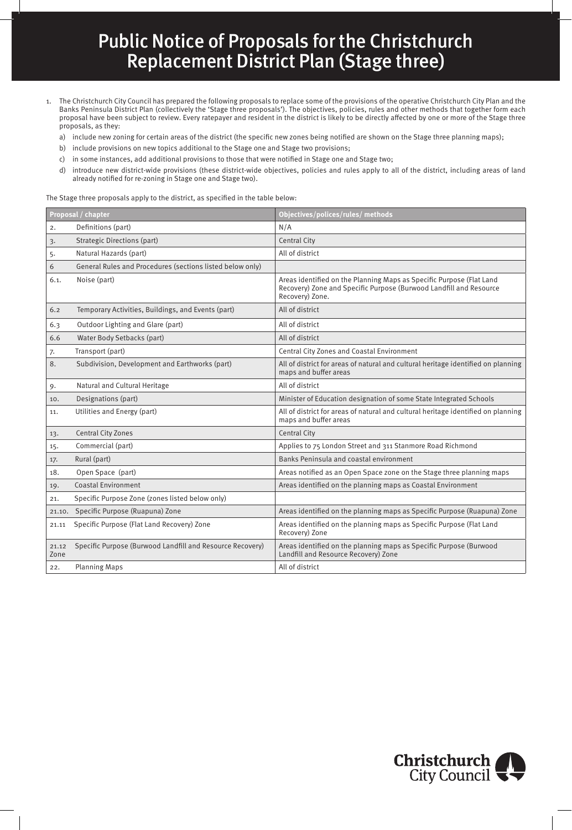## Public Notice of Proposals for the Christchurch Replacement District Plan (Stage three)

- 1. The Christchurch City Council has prepared the following proposals to replace some of the provisions of the operative Christchurch City Plan and the Banks Peninsula District Plan (collectively the 'Stage three proposals'). The objectives, policies, rules and other methods that together form each proposal have been subject to review. Every ratepayer and resident in the district is likely to be directly affected by one or more of the Stage three proposals, as they:
	- a) include new zoning for certain areas of the district (the specific new zones being notified are shown on the Stage three planning maps);
	- b) include provisions on new topics additional to the Stage one and Stage two provisions;
	- c) in some instances, add additional provisions to those that were notified in Stage one and Stage two;
	- d) introduce new district-wide provisions (these district-wide objectives, policies and rules apply to all of the district, including areas of land already notified for re-zoning in Stage one and Stage two).

The Stage three proposals apply to the district, as specified in the table below:

| Proposal / chapter |                                                           | Objectives/polices/rules/methods                                                                                                                              |  |
|--------------------|-----------------------------------------------------------|---------------------------------------------------------------------------------------------------------------------------------------------------------------|--|
| 2.                 | Definitions (part)                                        | N/A                                                                                                                                                           |  |
| 3.                 | <b>Strategic Directions (part)</b>                        | <b>Central City</b>                                                                                                                                           |  |
| 5.                 | Natural Hazards (part)                                    | All of district                                                                                                                                               |  |
| 6                  | General Rules and Procedures (sections listed below only) |                                                                                                                                                               |  |
| 6.1.               | Noise (part)                                              | Areas identified on the Planning Maps as Specific Purpose (Flat Land<br>Recovery) Zone and Specific Purpose (Burwood Landfill and Resource<br>Recovery) Zone. |  |
| 6.2                | Temporary Activities, Buildings, and Events (part)        | All of district                                                                                                                                               |  |
| 6.3                | Outdoor Lighting and Glare (part)                         | All of district                                                                                                                                               |  |
| 6.6                | Water Body Setbacks (part)                                | All of district                                                                                                                                               |  |
| 7.                 | Transport (part)                                          | Central City Zones and Coastal Environment                                                                                                                    |  |
| 8.                 | Subdivision, Development and Earthworks (part)            | All of district for areas of natural and cultural heritage identified on planning<br>maps and buffer areas                                                    |  |
| 9.                 | Natural and Cultural Heritage                             | All of district                                                                                                                                               |  |
| 10.                | Designations (part)                                       | Minister of Education designation of some State Integrated Schools                                                                                            |  |
| 11.                | Utilities and Energy (part)                               | All of district for areas of natural and cultural heritage identified on planning<br>maps and buffer areas                                                    |  |
| 13.                | <b>Central City Zones</b>                                 | Central City                                                                                                                                                  |  |
| 15.                | Commercial (part)                                         | Applies to 75 London Street and 311 Stanmore Road Richmond                                                                                                    |  |
| 17.                | Rural (part)                                              | Banks Peninsula and coastal environment                                                                                                                       |  |
| 18.                | Open Space (part)                                         | Areas notified as an Open Space zone on the Stage three planning maps                                                                                         |  |
| 19.                | <b>Coastal Environment</b>                                | Areas identified on the planning maps as Coastal Environment                                                                                                  |  |
| 21.                | Specific Purpose Zone (zones listed below only)           |                                                                                                                                                               |  |
| 21.10.             | Specific Purpose (Ruapuna) Zone                           | Areas identified on the planning maps as Specific Purpose (Ruapuna) Zone                                                                                      |  |
| 21.11              | Specific Purpose (Flat Land Recovery) Zone                | Areas identified on the planning maps as Specific Purpose (Flat Land<br>Recovery) Zone                                                                        |  |
| 21.12<br>Zone      | Specific Purpose (Burwood Landfill and Resource Recovery) | Areas identified on the planning maps as Specific Purpose (Burwood<br>Landfill and Resource Recovery) Zone                                                    |  |
| 22.                | <b>Planning Maps</b>                                      | All of district                                                                                                                                               |  |